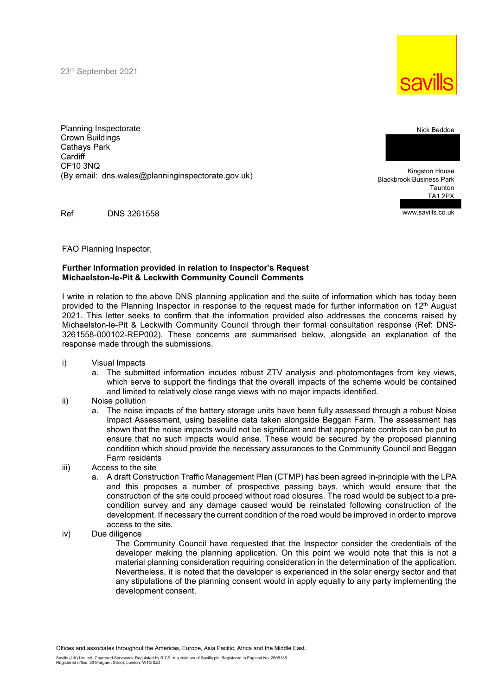23rd September 2021



Planning Inspectorate Crown Buildings Cathays Park **Cardiff** CF10 3NQ (By email: dns.wales@planninginspectorate.gov.uk)

Kingston House Blackbrook Business Park Taunton TA1 2PX

Ref DNS 3261558

FAO Planning Inspector,

## Further Information provided in relation to Inspector's Request Michaelston-le-Pit & Leckwith Community Council Comments

I write in relation to the above DNS planning application and the suite of information which has today been provided to the Planning Inspector in response to the request made for further information on 12<sup>th</sup> August 2021. This letter seeks to confirm that the information provided also addresses the concerns raised by Michaelston-le-Pit & Leckwith Community Council through their formal consultation response (Ref: DNS-3261558-000102-REP002). These concerns are summarised below, alongside an explanation of the response made through the submissions.

- i) Visual Impacts
	- a. The submitted information incudes robust ZTV analysis and photomontages from key views, which serve to support the findings that the overall impacts of the scheme would be contained and limited to relatively close range views with no major impacts identified.
- ii) Noise pollution
	- a. The noise impacts of the battery storage units have been fully assessed through a robust Noise Impact Assessment, using baseline data taken alongside Beggan Farm. The assessment has shown that the noise impacts would not be significant and that appropriate controls can be put to ensure that no such impacts would arise. These would be secured by the proposed planning condition which shoud provide the necessary assurances to the Community Council and Beggan Farm residents
- iii) Access to the site
	- a. A draft Construction Traffic Management Plan (CTMP) has been agreed in-principle with the LPA and this proposes a number of prospective passing bays, which would ensure that the construction of the site could proceed without road closures. The road would be subject to a precondition survey and any damage caused would be reinstated following construction of the development. If necessary the current condition of the road would be improved in order to improve access to the site.
- iv) Due diligence

The Community Council have requested that the Inspector consider the credentials of the developer making the planning application. On this point we would note that this is not a material planning consideration requiring consideration in the determination of the application. Nevertheless, it is noted that the developer is experienced in the solar energy sector and that any stipulations of the planning consent would in apply equally to any party implementing the development consent.



www.savills.co.uk